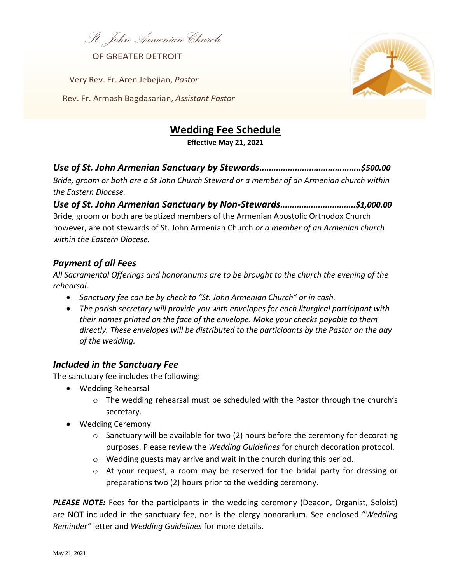*St. JohnArmenian Church* 

OF GREATER DETROIT

Very Rev. Fr. Aren Jebejian, *Pastor*

Rev. Fr. Armash Bagdasarian, *Assistant Pastor*



# **Wedding Fee Schedule**

**Effective May 21, 2021**

## *Use of St. John Armenian Sanctuary by Stewards...........................................\$500.00*

*Bride, groom or both are a St John Church Steward or a member of an Armenian church within the Eastern Diocese.*

*Use of St. John Armenian Sanctuary by Non-Stewards................................\$1,000.00* Bride, groom or both are baptized members of the Armenian Apostolic Orthodox Church however, are not stewards of St. John Armenian Church *or a member of an Armenian church within the Eastern Diocese.*

## *Payment of all Fees*

*All Sacramental Offerings and honorariums are to be brought to the church the evening of the rehearsal.* 

- *Sanctuary fee can be by check to "St. John Armenian Church" or in cash.*
- *The parish secretary will provide you with envelopes for each liturgical participant with their names printed on the face of the envelope. Make your checks payable to them directly. These envelopes will be distributed to the participants by the Pastor on the day of the wedding.*

#### *Included in the Sanctuary Fee*

The sanctuary fee includes the following:

- Wedding Rehearsal
	- o The wedding rehearsal must be scheduled with the Pastor through the church's secretary.
- Wedding Ceremony
	- $\circ$  Sanctuary will be available for two (2) hours before the ceremony for decorating purposes. Please review the *Wedding Guidelines* for church decoration protocol.
	- o Wedding guests may arrive and wait in the church during this period.
	- $\circ$  At your request, a room may be reserved for the bridal party for dressing or preparations two (2) hours prior to the wedding ceremony.

*PLEASE NOTE:* Fees for the participants in the wedding ceremony (Deacon, Organist, Soloist) are NOT included in the sanctuary fee, nor is the clergy honorarium. See enclosed "*Wedding Reminder"* letter and *Wedding Guidelines* for more details.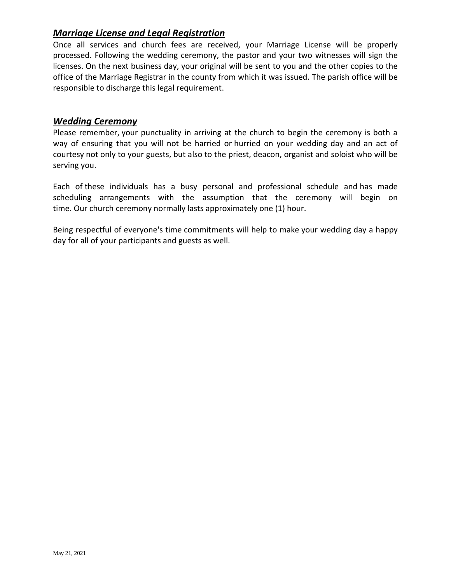# *Marriage License and Legal Registration*

Once all services and church fees are received, your Marriage License will be properly processed. Following the wedding ceremony, the pastor and your two witnesses will sign the licenses. On the next business day, your original will be sent to you and the other copies to the office of the Marriage Registrar in the county from which it was issued. The parish office will be responsible to discharge this legal requirement.

#### *Wedding Ceremony*

Please remember, your punctuality in arriving at the church to begin the ceremony is both a way of ensuring that you will not be harried or hurried on your wedding day and an act of courtesy not only to your guests, but also to the priest, deacon, organist and soloist who will be serving you.

Each of these individuals has a busy personal and professional schedule and has made scheduling arrangements with the assumption that the ceremony will begin on time. Our church ceremony normally lasts approximately one (1) hour.

Being respectful of everyone's time commitments will help to make your wedding day a happy day for all of your participants and guests as well.